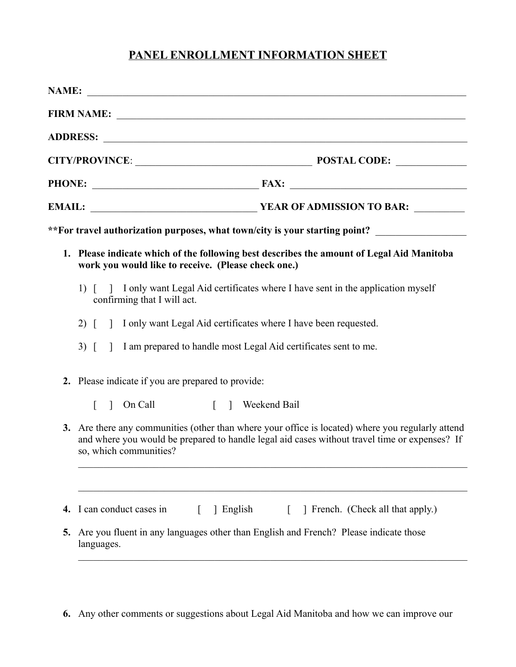## **PANEL ENROLLMENT INFORMATION SHEET**

|    |               | FIRM NAME: <u>New York:</u>                                                                                                                                                                                                  |
|----|---------------|------------------------------------------------------------------------------------------------------------------------------------------------------------------------------------------------------------------------------|
|    |               |                                                                                                                                                                                                                              |
|    |               |                                                                                                                                                                                                                              |
|    |               |                                                                                                                                                                                                                              |
|    |               |                                                                                                                                                                                                                              |
|    |               | **For travel authorization purposes, what town/city is your starting point? ________________________                                                                                                                         |
|    |               | 1. Please indicate which of the following best describes the amount of Legal Aid Manitoba<br>work you would like to receive. (Please check one.)                                                                             |
|    |               | 1) [ ] I only want Legal Aid certificates where I have sent in the application myself<br>confirming that I will act.                                                                                                         |
|    | $2)$ [        | 1 I only want Legal Aid certificates where I have been requested.                                                                                                                                                            |
|    | $3)$ $\lceil$ | 1 I am prepared to handle most Legal Aid certificates sent to me.                                                                                                                                                            |
|    |               | 2. Please indicate if you are prepared to provide:                                                                                                                                                                           |
|    |               | [ ] Weekend Bail<br>$\log$ On Call                                                                                                                                                                                           |
|    |               | 3. Are there any communities (other than where your office is located) where you regularly attend<br>and where you would be prepared to handle legal aid cases without travel time or expenses? If<br>so, which communities? |
|    |               |                                                                                                                                                                                                                              |
| 4. |               | I can conduct cases in<br>French. (Check all that apply.)<br>1 English                                                                                                                                                       |
| 5. |               | Are you fluent in any languages other than English and French? Please indicate those<br>languages.                                                                                                                           |

**6.** Any other comments or suggestions about Legal Aid Manitoba and how we can improve our